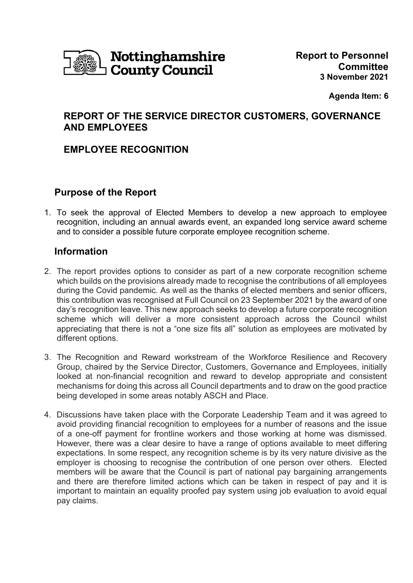

**Agenda Item: 6** 

# **REPORT OF THE SERVICE DIRECTOR CUSTOMERS, GOVERNANCE AND EMPLOYEES**

## **EMPLOYEE RECOGNITION**

## **Purpose of the Report**

1. To seek the approval of Elected Members to develop a new approach to employee recognition, including an annual awards event, an expanded long service award scheme and to consider a possible future corporate employee recognition scheme.

# **Information**

- 2. The report provides options to consider as part of a new corporate recognition scheme which builds on the provisions already made to recognise the contributions of all employees during the Covid pandemic. As well as the thanks of elected members and senior officers, this contribution was recognised at Full Council on 23 September 2021 by the award of one day's recognition leave. This new approach seeks to develop a future corporate recognition scheme which will deliver a more consistent approach across the Council whilst appreciating that there is not a "one size fits all" solution as employees are motivated by different options.
- 3. The Recognition and Reward workstream of the Workforce Resilience and Recovery Group, chaired by the Service Director, Customers, Governance and Employees, initially looked at non-financial recognition and reward to develop appropriate and consistent mechanisms for doing this across all Council departments and to draw on the good practice being developed in some areas notably ASCH and Place.
- 4. Discussions have taken place with the Corporate Leadership Team and it was agreed to avoid providing financial recognition to employees for a number of reasons and the issue of a one-off payment for frontline workers and those working at home was dismissed. However, there was a clear desire to have a range of options available to meet differing expectations. In some respect, any recognition scheme is by its very nature divisive as the employer is choosing to recognise the contribution of one person over others. Elected members will be aware that the Council is part of national pay bargaining arrangements and there are therefore limited actions which can be taken in respect of pay and it is important to maintain an equality proofed pay system using job evaluation to avoid equal pay claims.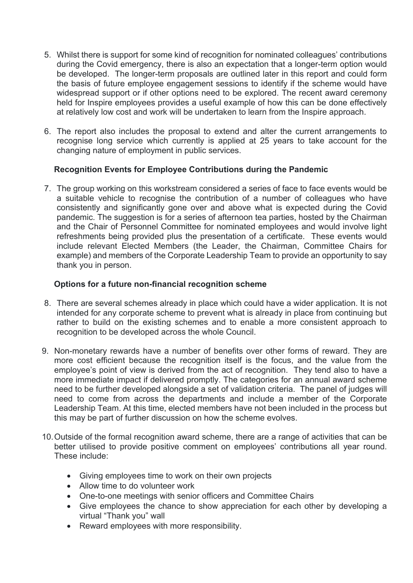- 5. Whilst there is support for some kind of recognition for nominated colleagues' contributions during the Covid emergency, there is also an expectation that a longer-term option would be developed. The longer-term proposals are outlined later in this report and could form the basis of future employee engagement sessions to identify if the scheme would have widespread support or if other options need to be explored. The recent award ceremony held for Inspire employees provides a useful example of how this can be done effectively at relatively low cost and work will be undertaken to learn from the Inspire approach.
- 6. The report also includes the proposal to extend and alter the current arrangements to recognise long service which currently is applied at 25 years to take account for the changing nature of employment in public services.

## **Recognition Events for Employee Contributions during the Pandemic**

7. The group working on this workstream considered a series of face to face events would be a suitable vehicle to recognise the contribution of a number of colleagues who have consistently and significantly gone over and above what is expected during the Covid pandemic. The suggestion is for a series of afternoon tea parties, hosted by the Chairman and the Chair of Personnel Committee for nominated employees and would involve light refreshments being provided plus the presentation of a certificate. These events would include relevant Elected Members (the Leader, the Chairman, Committee Chairs for example) and members of the Corporate Leadership Team to provide an opportunity to say thank you in person.

## **Options for a future non-financial recognition scheme**

- 8. There are several schemes already in place which could have a wider application. It is not intended for any corporate scheme to prevent what is already in place from continuing but rather to build on the existing schemes and to enable a more consistent approach to recognition to be developed across the whole Council.
- 9. Non-monetary rewards have a number of benefits over other forms of reward. They are more cost efficient because the recognition itself is the focus, and the value from the employee's point of view is derived from the act of recognition. They tend also to have a more immediate impact if delivered promptly. The categories for an annual award scheme need to be further developed alongside a set of validation criteria. The panel of judges will need to come from across the departments and include a member of the Corporate Leadership Team. At this time, elected members have not been included in the process but this may be part of further discussion on how the scheme evolves.
- 10. Outside of the formal recognition award scheme, there are a range of activities that can be better utilised to provide positive comment on employees' contributions all year round. These include:
	- Giving employees time to work on their own projects
	- Allow time to do volunteer work
	- One-to-one meetings with senior officers and Committee Chairs
	- Give employees the chance to show appreciation for each other by developing a virtual "Thank you" wall
	- Reward employees with more responsibility.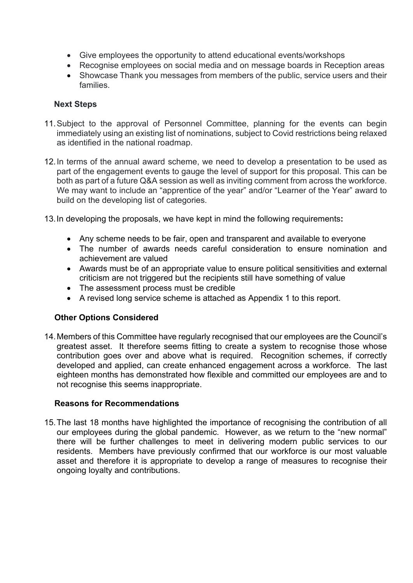- Give employees the opportunity to attend educational events/workshops
- Recognise employees on social media and on message boards in Reception areas
- Showcase Thank you messages from members of the public, service users and their families.

#### **Next Steps**

- 11. Subject to the approval of Personnel Committee, planning for the events can begin immediately using an existing list of nominations, subject to Covid restrictions being relaxed as identified in the national roadmap.
- 12. In terms of the annual award scheme, we need to develop a presentation to be used as part of the engagement events to gauge the level of support for this proposal. This can be both as part of a future Q&A session as well as inviting comment from across the workforce. We may want to include an "apprentice of the year" and/or "Learner of the Year" award to build on the developing list of categories.
- 13. In developing the proposals, we have kept in mind the following requirements**:**
	- Any scheme needs to be fair, open and transparent and available to everyone
	- The number of awards needs careful consideration to ensure nomination and achievement are valued
	- Awards must be of an appropriate value to ensure political sensitivities and external criticism are not triggered but the recipients still have something of value
	- The assessment process must be credible
	- A revised long service scheme is attached as Appendix 1 to this report.

## **Other Options Considered**

14. Members of this Committee have regularly recognised that our employees are the Council's greatest asset. It therefore seems fitting to create a system to recognise those whose contribution goes over and above what is required. Recognition schemes, if correctly developed and applied, can create enhanced engagement across a workforce. The last eighteen months has demonstrated how flexible and committed our employees are and to not recognise this seems inappropriate.

#### **Reasons for Recommendations**

15. The last 18 months have highlighted the importance of recognising the contribution of all our employees during the global pandemic. However, as we return to the "new normal" there will be further challenges to meet in delivering modern public services to our residents. Members have previously confirmed that our workforce is our most valuable asset and therefore it is appropriate to develop a range of measures to recognise their ongoing loyalty and contributions.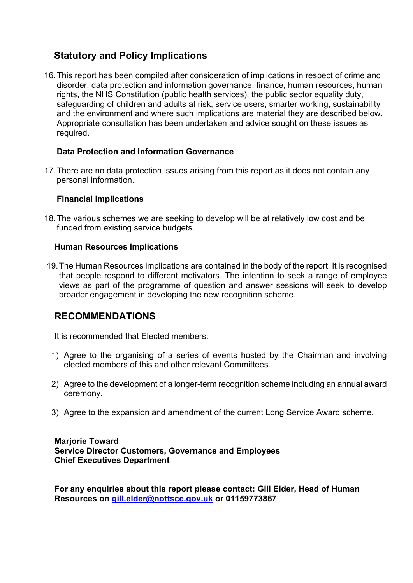# **Statutory and Policy Implications**

16. This report has been compiled after consideration of implications in respect of crime and disorder, data protection and information governance, finance, human resources, human rights, the NHS Constitution (public health services), the public sector equality duty, safeguarding of children and adults at risk, service users, smarter working, sustainability and the environment and where such implications are material they are described below. Appropriate consultation has been undertaken and advice sought on these issues as required.

## **Data Protection and Information Governance**

17. There are no data protection issues arising from this report as it does not contain any personal information.

#### **Financial Implications**

18. The various schemes we are seeking to develop will be at relatively low cost and be funded from existing service budgets.

#### **Human Resources Implications**

 19. The Human Resources implications are contained in the body of the report. It is recognised that people respond to different motivators. The intention to seek a range of employee views as part of the programme of question and answer sessions will seek to develop broader engagement in developing the new recognition scheme.

## **RECOMMENDATIONS**

It is recommended that Elected members:

- 1) Agree to the organising of a series of events hosted by the Chairman and involving elected members of this and other relevant Committees.
- 2) Agree to the development of a longer-term recognition scheme including an annual award ceremony.
- 3) Agree to the expansion and amendment of the current Long Service Award scheme.

#### **Marjorie Toward Service Director Customers, Governance and Employees Chief Executives Department**

**For any enquiries about this report please contact: Gill Elder, Head of Human Resources on gill.elder@nottscc.gov.uk or 01159773867**